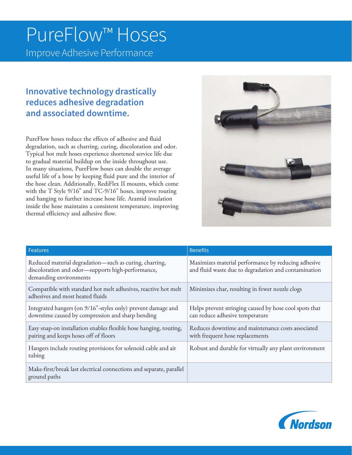# PureFlow™ Hoses

Improve Adhesive Performance

## **Innovative technology drastically reduces adhesive degradation and associated downtime.**

PureFlow hoses reduce the effects of adhesive and fluid degradation, such as charring, curing, discoloration and odor. Typical hot melt hoses experience shortened service life due to gradual material buildup on the inside throughout use. In many situations, PureFlow hoses can double the average useful life of a hose by keeping fluid pure and the interior of the hose clean. Additionally, RediFlex II mounts, which come with the T Style 9/16" and TC-9/16" hoses, improve routing and hanging to further increase hose life. Aramid insulation inside the hose maintains a consistent temperature, improving thermal efficiency and adhesive flow.



| <b>Features</b>                                                                                                                       | <b>Benefits</b>                                                                                             |
|---------------------------------------------------------------------------------------------------------------------------------------|-------------------------------------------------------------------------------------------------------------|
| Reduced material degradation-such as curing, charring,<br>discoloration and odor-supports high-performance,<br>demanding environments | Maximizes material performance by reducing adhesive<br>and fluid waste due to degradation and contamination |
| Compatible with standard hot melt adhesives, reactive hot melt<br>adhesives and most heated fluids                                    | Minimizes char, resulting in fewer nozzle clogs                                                             |
| Integrated hangers (on 9/16"-styles only) prevent damage and<br>downtime caused by compression and sharp bending                      | Helps prevent stringing caused by hose cool spots that<br>can reduce adhesive temperature                   |
| Easy snap-on installation enables flexible hose hanging, routing,<br>pairing and keeps hoses off of floors                            | Reduces downtime and maintenance costs associated<br>with frequent hose replacements                        |
| Hangers include routing provisions for solenoid cable and air<br>tubing                                                               | Robust and durable for virtually any plant environment                                                      |
| Make-first/break last electrical connections and separate, parallel<br>ground paths                                                   |                                                                                                             |